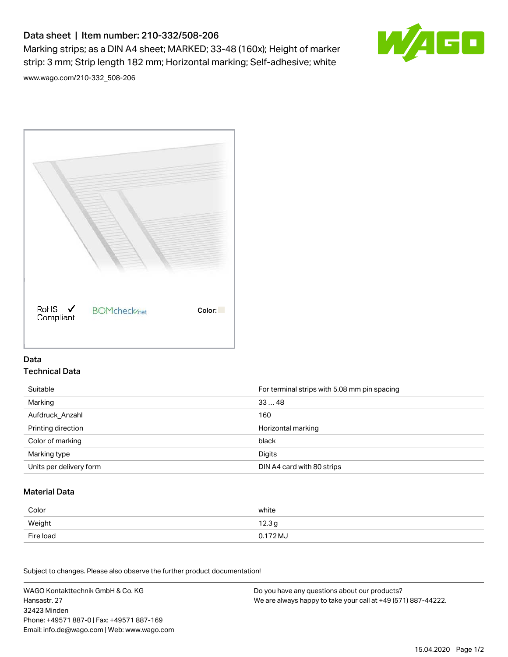# Data sheet | Item number: 210-332/508-206

Marking strips; as a DIN A4 sheet; MARKED; 33-48 (160x); Height of marker strip: 3 mm; Strip length 182 mm; Horizontal marking; Self-adhesive; white



[www.wago.com/210-332\\_508-206](http://www.wago.com/210-332_508-206)



### Data Technical Data

| Suitable                | For terminal strips with 5.08 mm pin spacing |
|-------------------------|----------------------------------------------|
| Marking                 | 3348                                         |
| Aufdruck Anzahl         | 160                                          |
| Printing direction      | Horizontal marking                           |
| Color of marking        | black                                        |
| Marking type            | Digits                                       |
| Units per delivery form | DIN A4 card with 80 strips                   |

#### Material Data

| Color     | white                       |
|-----------|-----------------------------|
| Weight    | 12.3 <sub>g</sub>           |
| Fire load | $0.172\,\mathrm{M}_{\odot}$ |

Subject to changes. Please also observe the further product documentation!

WAGO Kontakttechnik GmbH & Co. KG Hansastr. 27 32423 Minden Phone: +49571 887-0 | Fax: +49571 887-169 Email: info.de@wago.com | Web: www.wago.com Do you have any questions about our products? We are always happy to take your call at +49 (571) 887-44222.